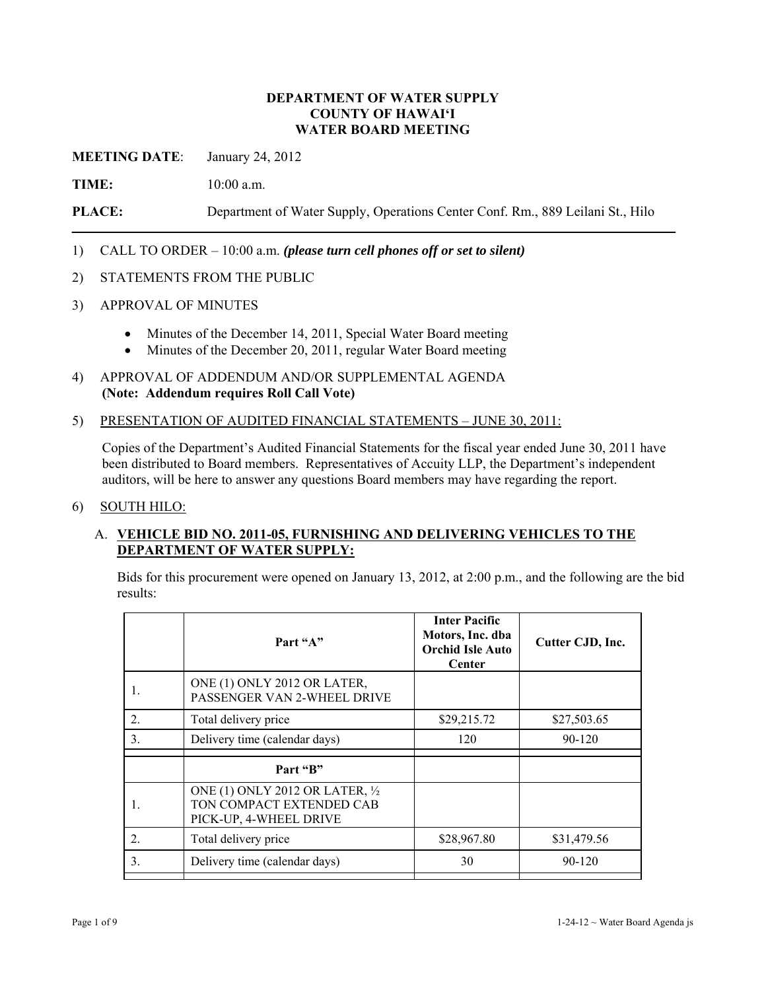### **DEPARTMENT OF WATER SUPPLY COUNTY OF HAWAI'I WATER BOARD MEETING**

**MEETING DATE**: January 24, 2012

**TIME:** 10:00 a.m.

**PLACE:** Department of Water Supply, Operations Center Conf. Rm., 889 Leilani St., Hilo

- 1) CALL TO ORDER 10:00 a.m. *(please turn cell phones off or set to silent)*
- 2) STATEMENTS FROM THE PUBLIC
- 3) APPROVAL OF MINUTES
	- Minutes of the December 14, 2011, Special Water Board meeting
	- Minutes of the December 20, 2011, regular Water Board meeting
- 4) APPROVAL OF ADDENDUM AND/OR SUPPLEMENTAL AGENDA **(Note: Addendum requires Roll Call Vote)**
- 5) PRESENTATION OF AUDITED FINANCIAL STATEMENTS JUNE 30, 2011:

Copies of the Department's Audited Financial Statements for the fiscal year ended June 30, 2011 have been distributed to Board members. Representatives of Accuity LLP, the Department's independent auditors, will be here to answer any questions Board members may have regarding the report.

#### 6) SOUTH HILO:

## A. **VEHICLE BID NO. 2011-05, FURNISHING AND DELIVERING VEHICLES TO THE DEPARTMENT OF WATER SUPPLY:**

Bids for this procurement were opened on January 13, 2012, at 2:00 p.m., and the following are the bid results:

|                  | Part "A"                                                                              | <b>Inter Pacific</b><br>Motors, Inc. dba<br><b>Orchid Isle Auto</b><br>Center | Cutter CJD, Inc. |
|------------------|---------------------------------------------------------------------------------------|-------------------------------------------------------------------------------|------------------|
|                  | ONE (1) ONLY 2012 OR LATER,<br>PASSENGER VAN 2-WHEEL DRIVE                            |                                                                               |                  |
| 2.               | Total delivery price                                                                  | \$29,215.72                                                                   | \$27,503.65      |
| 3.               | Delivery time (calendar days)                                                         | 120                                                                           | 90-120           |
|                  | Part "B"                                                                              |                                                                               |                  |
|                  | ONE (1) ONLY 2012 OR LATER, 1/2<br>TON COMPACT EXTENDED CAB<br>PICK-UP, 4-WHEEL DRIVE |                                                                               |                  |
| $\overline{2}$ . | Total delivery price                                                                  | \$28,967.80                                                                   | \$31,479.56      |
| 3.               | Delivery time (calendar days)                                                         | 30                                                                            | 90-120           |
|                  |                                                                                       |                                                                               |                  |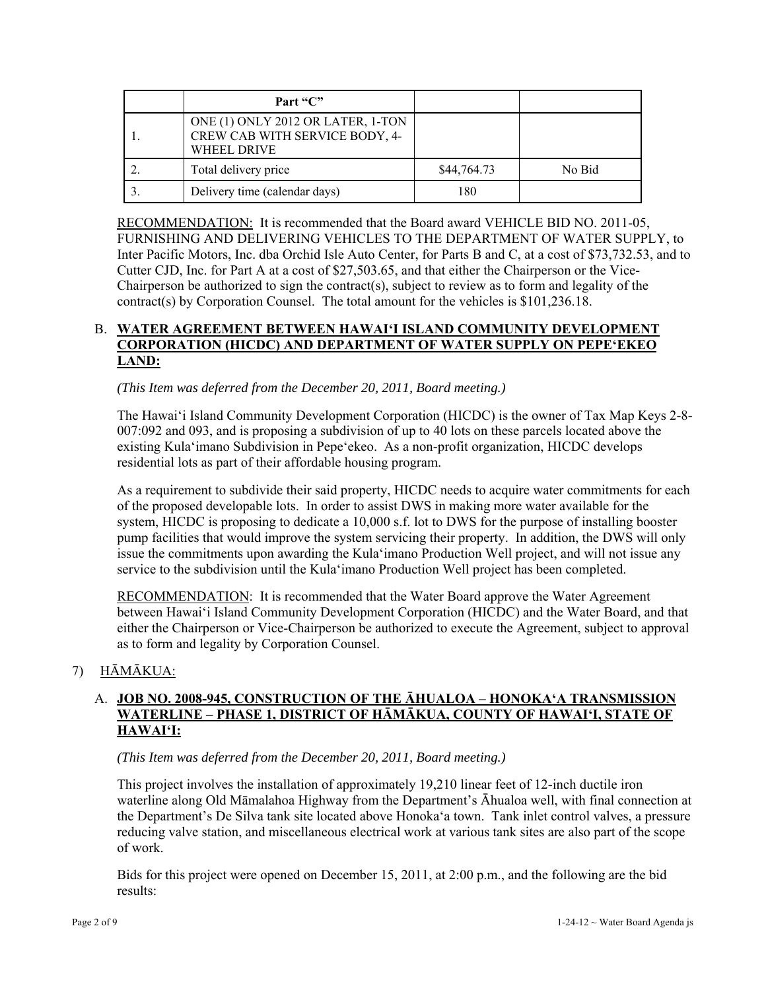| Part "C"                                                                                  |             |        |
|-------------------------------------------------------------------------------------------|-------------|--------|
| ONE (1) ONLY 2012 OR LATER, 1-TON<br>CREW CAB WITH SERVICE BODY, 4-<br><b>WHEEL DRIVE</b> |             |        |
| Total delivery price                                                                      | \$44,764.73 | No Bid |
| Delivery time (calendar days)                                                             | 180         |        |

RECOMMENDATION: It is recommended that the Board award VEHICLE BID NO. 2011-05, FURNISHING AND DELIVERING VEHICLES TO THE DEPARTMENT OF WATER SUPPLY, to Inter Pacific Motors, Inc. dba Orchid Isle Auto Center, for Parts B and C, at a cost of \$73,732.53, and to Cutter CJD, Inc. for Part A at a cost of \$27,503.65, and that either the Chairperson or the Vice-Chairperson be authorized to sign the contract(s), subject to review as to form and legality of the contract(s) by Corporation Counsel. The total amount for the vehicles is \$101,236.18.

## B. **WATER AGREEMENT BETWEEN HAWAI'I ISLAND COMMUNITY DEVELOPMENT CORPORATION (HICDC) AND DEPARTMENT OF WATER SUPPLY ON PEPE'EKEO LAND:**

*(This Item was deferred from the December 20, 2011, Board meeting.)* 

The Hawai'i Island Community Development Corporation (HICDC) is the owner of Tax Map Keys 2-8- 007:092 and 093, and is proposing a subdivision of up to 40 lots on these parcels located above the existing Kula'imano Subdivision in Pepe'ekeo. As a non-profit organization, HICDC develops residential lots as part of their affordable housing program.

As a requirement to subdivide their said property, HICDC needs to acquire water commitments for each of the proposed developable lots. In order to assist DWS in making more water available for the system, HICDC is proposing to dedicate a 10,000 s.f. lot to DWS for the purpose of installing booster pump facilities that would improve the system servicing their property. In addition, the DWS will only issue the commitments upon awarding the Kula'imano Production Well project, and will not issue any service to the subdivision until the Kula'imano Production Well project has been completed.

RECOMMENDATION: It is recommended that the Water Board approve the Water Agreement between Hawai'i Island Community Development Corporation (HICDC) and the Water Board, and that either the Chairperson or Vice-Chairperson be authorized to execute the Agreement, subject to approval as to form and legality by Corporation Counsel.

# 7) HĀMĀKUA:

# A. **JOB NO. 2008-945, CONSTRUCTION OF THE ĀHUALOA – HONOKA'A TRANSMISSION WATERLINE – PHASE 1, DISTRICT OF HĀMĀKUA, COUNTY OF HAWAI'I, STATE OF HAWAI'I:**

*(This Item was deferred from the December 20, 2011, Board meeting.)* 

This project involves the installation of approximately 19,210 linear feet of 12-inch ductile iron waterline along Old Māmalahoa Highway from the Department's Āhualoa well, with final connection at the Department's De Silva tank site located above Honoka'a town. Tank inlet control valves, a pressure reducing valve station, and miscellaneous electrical work at various tank sites are also part of the scope of work.

Bids for this project were opened on December 15, 2011, at 2:00 p.m., and the following are the bid results: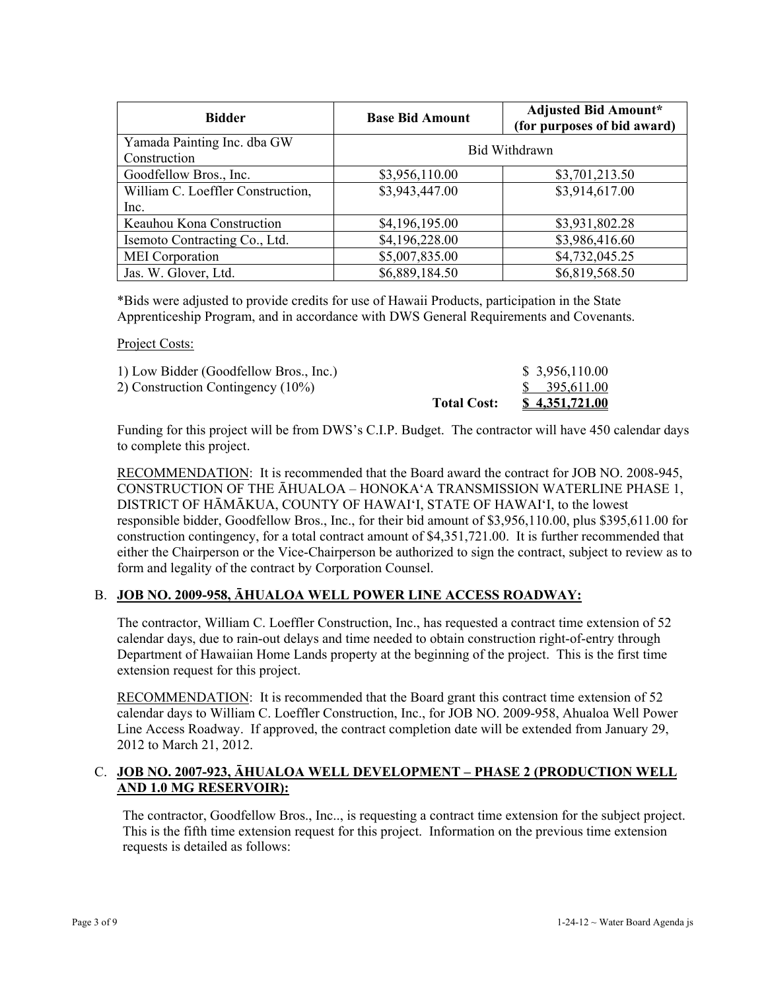| <b>Bidder</b>                               | <b>Base Bid Amount</b> | <b>Adjusted Bid Amount*</b><br>(for purposes of bid award) |
|---------------------------------------------|------------------------|------------------------------------------------------------|
| Yamada Painting Inc. dba GW<br>Construction |                        | <b>Bid Withdrawn</b>                                       |
| Goodfellow Bros., Inc.                      | \$3,956,110.00         | \$3,701,213.50                                             |
| William C. Loeffler Construction,           | \$3,943,447.00         | \$3,914,617.00                                             |
| Inc.                                        |                        |                                                            |
| Keauhou Kona Construction                   | \$4,196,195.00         | \$3,931,802.28                                             |
| Isemoto Contracting Co., Ltd.               | \$4,196,228.00         | \$3,986,416.60                                             |
| <b>MEI</b> Corporation                      | \$5,007,835.00         | \$4,732,045.25                                             |
| Jas. W. Glover, Ltd.                        | \$6,889,184.50         | \$6,819,568.50                                             |

\*Bids were adjusted to provide credits for use of Hawaii Products, participation in the State Apprenticeship Program, and in accordance with DWS General Requirements and Covenants.

Project Costs:

| 1) Low Bidder (Goodfellow Bros., Inc.) |                    | \$3,956,110.00        |
|----------------------------------------|--------------------|-----------------------|
| 2) Construction Contingency (10%)      |                    | \$395,611.00          |
|                                        | <b>Total Cost:</b> | <u>\$4,351,721.00</u> |

Funding for this project will be from DWS's C.I.P. Budget. The contractor will have 450 calendar days to complete this project.

RECOMMENDATION: It is recommended that the Board award the contract for JOB NO. 2008-945, CONSTRUCTION OF THE ĀHUALOA – HONOKA'A TRANSMISSION WATERLINE PHASE 1, DISTRICT OF HĀMĀKUA, COUNTY OF HAWAI'I, STATE OF HAWAI'I, to the lowest responsible bidder, Goodfellow Bros., Inc., for their bid amount of \$3,956,110.00, plus \$395,611.00 for construction contingency, for a total contract amount of \$4,351,721.00. It is further recommended that either the Chairperson or the Vice-Chairperson be authorized to sign the contract, subject to review as to form and legality of the contract by Corporation Counsel.

### B. **JOB NO. 2009-958, ĀHUALOA WELL POWER LINE ACCESS ROADWAY:**

The contractor, William C. Loeffler Construction, Inc., has requested a contract time extension of 52 calendar days, due to rain-out delays and time needed to obtain construction right-of-entry through Department of Hawaiian Home Lands property at the beginning of the project. This is the first time extension request for this project.

RECOMMENDATION: It is recommended that the Board grant this contract time extension of 52 calendar days to William C. Loeffler Construction, Inc., for JOB NO. 2009-958, Ahualoa Well Power Line Access Roadway. If approved, the contract completion date will be extended from January 29, 2012 to March 21, 2012.

## C. **JOB NO. 2007-923, ĀHUALOA WELL DEVELOPMENT – PHASE 2 (PRODUCTION WELL AND 1.0 MG RESERVOIR):**

The contractor, Goodfellow Bros., Inc.., is requesting a contract time extension for the subject project. This is the fifth time extension request for this project. Information on the previous time extension requests is detailed as follows: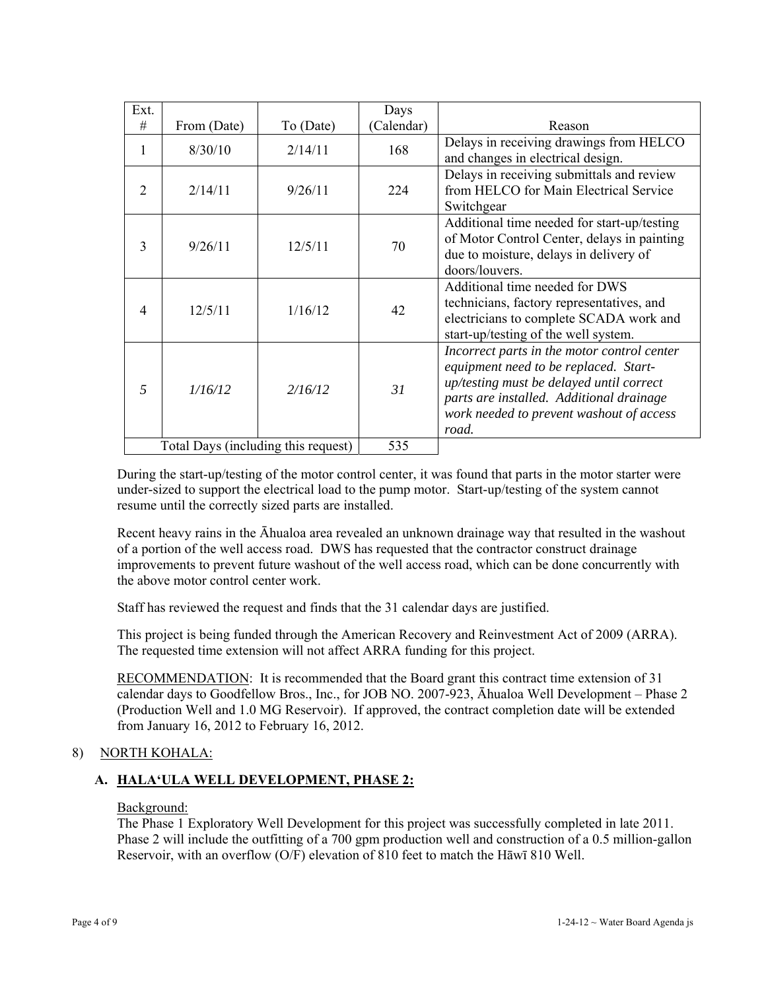| Ext.                                |             |           | Days      |                                                                                                                                                                                                                                   |
|-------------------------------------|-------------|-----------|-----------|-----------------------------------------------------------------------------------------------------------------------------------------------------------------------------------------------------------------------------------|
| #                                   | From (Date) | To (Date) | Calendar) | Reason                                                                                                                                                                                                                            |
| 1                                   | 8/30/10     | 2/14/11   | 168       | Delays in receiving drawings from HELCO<br>and changes in electrical design.                                                                                                                                                      |
| 2                                   | 2/14/11     | 9/26/11   | 224       | Delays in receiving submittals and review<br>from HELCO for Main Electrical Service<br>Switchgear                                                                                                                                 |
| 3                                   | 9/26/11     | 12/5/11   | 70        | Additional time needed for start-up/testing<br>of Motor Control Center, delays in painting<br>due to moisture, delays in delivery of<br>doors/louvers.                                                                            |
| $\overline{4}$                      | 12/5/11     | 1/16/12   | 42        | Additional time needed for DWS<br>technicians, factory representatives, and<br>electricians to complete SCADA work and<br>start-up/testing of the well system.                                                                    |
| $\overline{5}$                      | 1/16/12     | 2/16/12   | 31        | Incorrect parts in the motor control center<br>equipment need to be replaced. Start-<br>up/testing must be delayed until correct<br>parts are installed. Additional drainage<br>work needed to prevent washout of access<br>road. |
| Total Days (including this request) |             | 535       |           |                                                                                                                                                                                                                                   |

During the start-up/testing of the motor control center, it was found that parts in the motor starter were under-sized to support the electrical load to the pump motor. Start-up/testing of the system cannot resume until the correctly sized parts are installed.

Recent heavy rains in the Āhualoa area revealed an unknown drainage way that resulted in the washout of a portion of the well access road. DWS has requested that the contractor construct drainage improvements to prevent future washout of the well access road, which can be done concurrently with the above motor control center work.

Staff has reviewed the request and finds that the 31 calendar days are justified.

This project is being funded through the American Recovery and Reinvestment Act of 2009 (ARRA). The requested time extension will not affect ARRA funding for this project.

RECOMMENDATION: It is recommended that the Board grant this contract time extension of 31 calendar days to Goodfellow Bros., Inc., for JOB NO. 2007-923, Āhualoa Well Development – Phase 2 (Production Well and 1.0 MG Reservoir). If approved, the contract completion date will be extended from January 16, 2012 to February 16, 2012.

# 8) NORTH KOHALA:

# **A. HALA'ULA WELL DEVELOPMENT, PHASE 2:**

### Background:

The Phase 1 Exploratory Well Development for this project was successfully completed in late 2011. Phase 2 will include the outfitting of a 700 gpm production well and construction of a 0.5 million-gallon Reservoir, with an overflow (O/F) elevation of 810 feet to match the Hāwī 810 Well.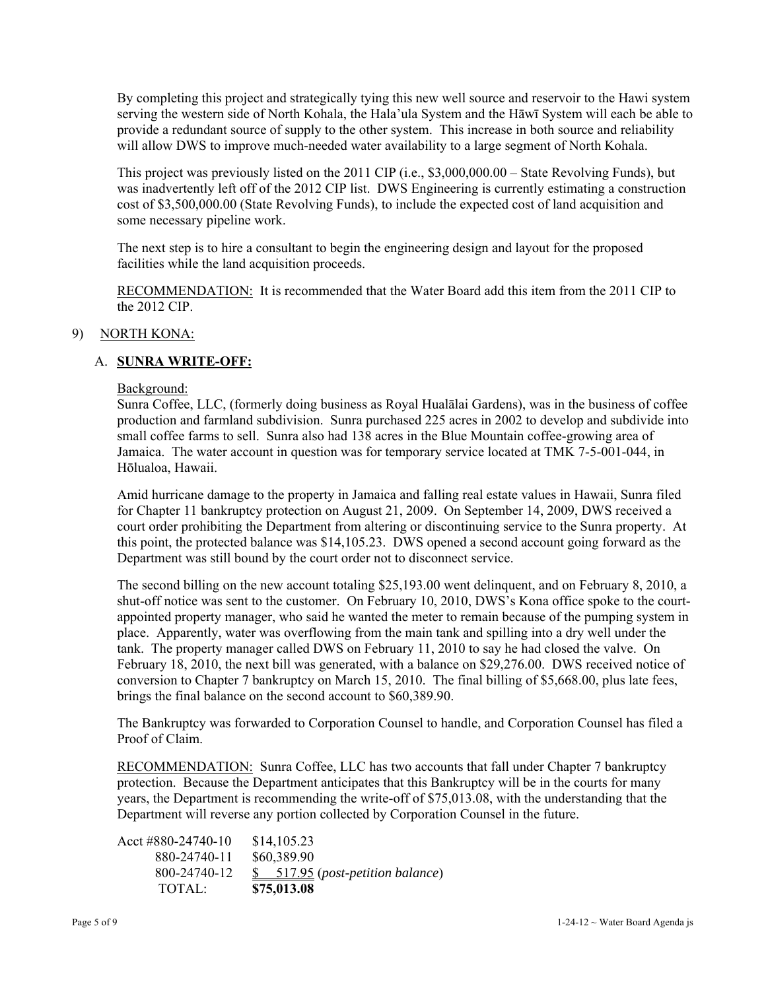By completing this project and strategically tying this new well source and reservoir to the Hawi system serving the western side of North Kohala, the Hala'ula System and the Hāwī System will each be able to provide a redundant source of supply to the other system. This increase in both source and reliability will allow DWS to improve much-needed water availability to a large segment of North Kohala.

This project was previously listed on the 2011 CIP (i.e., \$3,000,000.00 – State Revolving Funds), but was inadvertently left off of the 2012 CIP list. DWS Engineering is currently estimating a construction cost of \$3,500,000.00 (State Revolving Funds), to include the expected cost of land acquisition and some necessary pipeline work.

The next step is to hire a consultant to begin the engineering design and layout for the proposed facilities while the land acquisition proceeds.

RECOMMENDATION: It is recommended that the Water Board add this item from the 2011 CIP to the 2012 CIP.

### 9) NORTH KONA:

## A. **SUNRA WRITE-OFF:**

#### Background:

Sunra Coffee, LLC, (formerly doing business as Royal Hualālai Gardens), was in the business of coffee production and farmland subdivision. Sunra purchased 225 acres in 2002 to develop and subdivide into small coffee farms to sell. Sunra also had 138 acres in the Blue Mountain coffee-growing area of Jamaica. The water account in question was for temporary service located at TMK 7-5-001-044, in Hōlualoa, Hawaii.

Amid hurricane damage to the property in Jamaica and falling real estate values in Hawaii, Sunra filed for Chapter 11 bankruptcy protection on August 21, 2009. On September 14, 2009, DWS received a court order prohibiting the Department from altering or discontinuing service to the Sunra property. At this point, the protected balance was \$14,105.23. DWS opened a second account going forward as the Department was still bound by the court order not to disconnect service.

The second billing on the new account totaling \$25,193.00 went delinquent, and on February 8, 2010, a shut-off notice was sent to the customer. On February 10, 2010, DWS's Kona office spoke to the courtappointed property manager, who said he wanted the meter to remain because of the pumping system in place. Apparently, water was overflowing from the main tank and spilling into a dry well under the tank. The property manager called DWS on February 11, 2010 to say he had closed the valve. On February 18, 2010, the next bill was generated, with a balance on \$29,276.00. DWS received notice of conversion to Chapter 7 bankruptcy on March 15, 2010. The final billing of \$5,668.00, plus late fees, brings the final balance on the second account to \$60,389.90.

The Bankruptcy was forwarded to Corporation Counsel to handle, and Corporation Counsel has filed a Proof of Claim.

RECOMMENDATION:Sunra Coffee, LLC has two accounts that fall under Chapter 7 bankruptcy protection. Because the Department anticipates that this Bankruptcy will be in the courts for many years, the Department is recommending the write-off of \$75,013.08, with the understanding that the Department will reverse any portion collected by Corporation Counsel in the future.

Acct #880-24740-10 \$14,105.23 880-24740-11 \$60,389.90 800-24740-12 \$ 517.95 (*post-petition balance*) TOTAL: **\$75,013.08**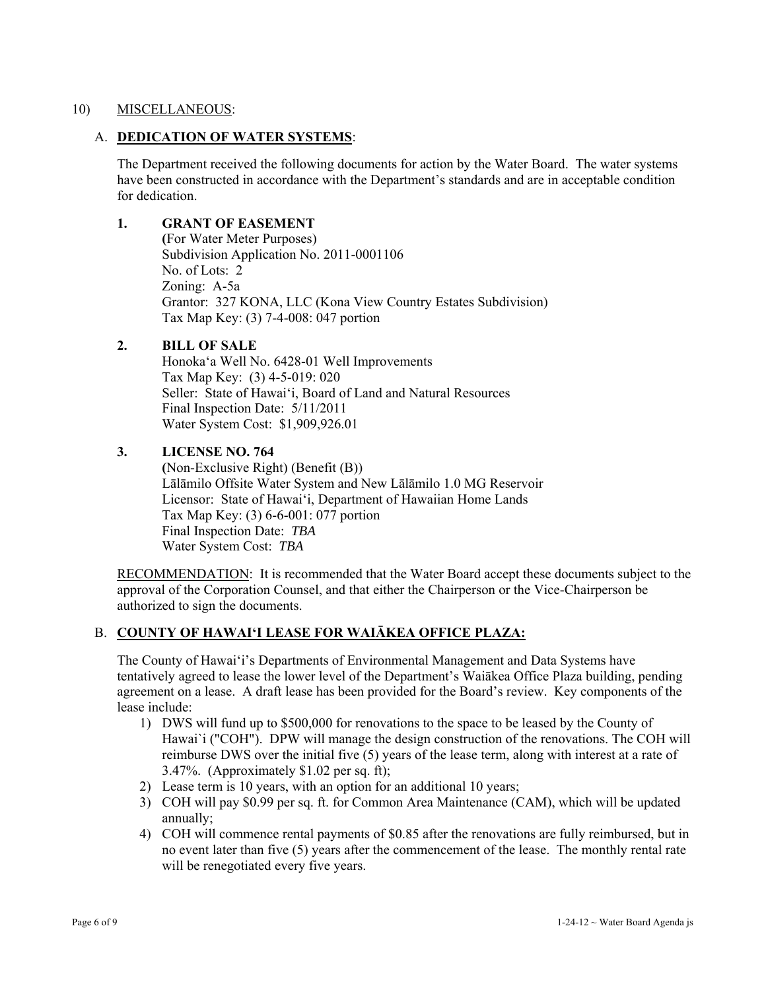### 10) MISCELLANEOUS:

## A. **DEDICATION OF WATER SYSTEMS**:

The Department received the following documents for action by the Water Board. The water systems have been constructed in accordance with the Department's standards and are in acceptable condition for dedication.

## **1. GRANT OF EASEMENT**

 **(**For Water Meter Purposes) Subdivision Application No. 2011-0001106 No. of Lots: 2 Zoning: A-5a Grantor: 327 KONA, LLC (Kona View Country Estates Subdivision) Tax Map Key: (3) 7-4-008: 047 portion

## **2. BILL OF SALE**

 Honoka'a Well No. 6428-01 Well Improvements Tax Map Key: (3) 4-5-019: 020 Seller: State of Hawai'i, Board of Land and Natural Resources Final Inspection Date: 5/11/2011 Water System Cost: \$1,909,926.01

## **3. LICENSE NO. 764**

 **(**Non-Exclusive Right) (Benefit (B)) Lālāmilo Offsite Water System and New Lālāmilo 1.0 MG Reservoir Licensor: State of Hawai'i, Department of Hawaiian Home Lands Tax Map Key: (3) 6-6-001: 077 portion Final Inspection Date: *TBA*  Water System Cost: *TBA* 

RECOMMENDATION: It is recommended that the Water Board accept these documents subject to the approval of the Corporation Counsel, and that either the Chairperson or the Vice-Chairperson be authorized to sign the documents.

## B. **COUNTY OF HAWAI'I LEASE FOR WAIĀKEA OFFICE PLAZA:**

The County of Hawai'i's Departments of Environmental Management and Data Systems have tentatively agreed to lease the lower level of the Department's Waiākea Office Plaza building, pending agreement on a lease. A draft lease has been provided for the Board's review. Key components of the lease include:

- 1) DWS will fund up to \$500,000 for renovations to the space to be leased by the County of Hawai`i ("COH"). DPW will manage the design construction of the renovations. The COH will reimburse DWS over the initial five (5) years of the lease term, along with interest at a rate of 3.47%. (Approximately \$1.02 per sq. ft);
- 2) Lease term is 10 years, with an option for an additional 10 years;
- 3) COH will pay \$0.99 per sq. ft. for Common Area Maintenance (CAM), which will be updated annually;
- 4) COH will commence rental payments of \$0.85 after the renovations are fully reimbursed, but in no event later than five (5) years after the commencement of the lease. The monthly rental rate will be renegotiated every five years.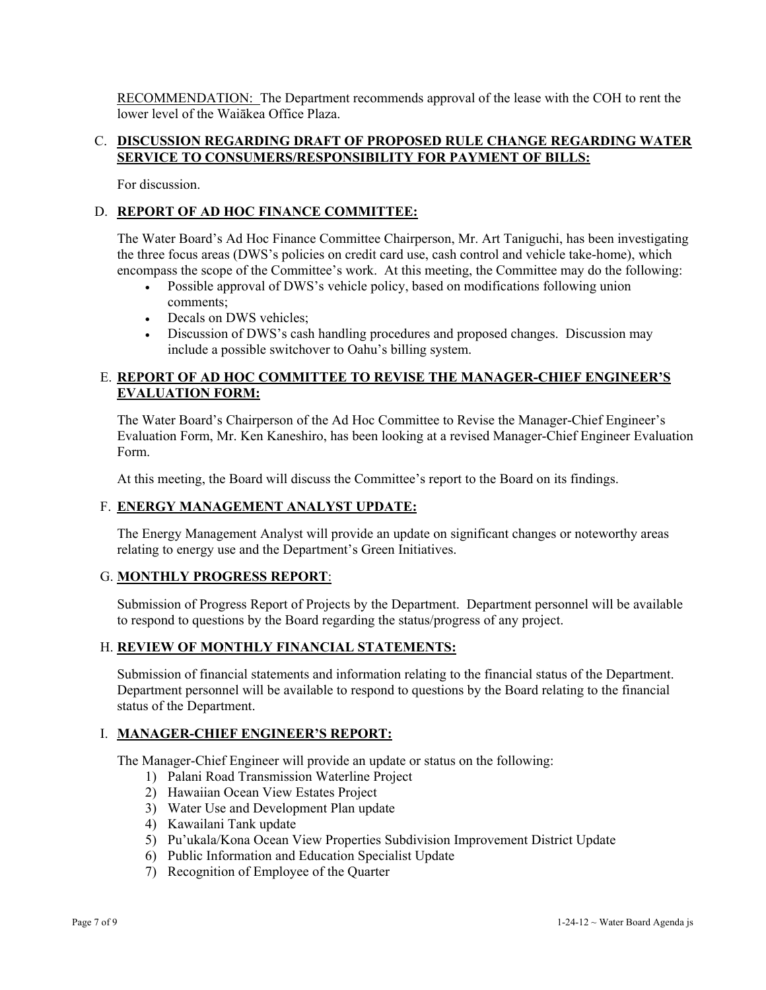RECOMMENDATION: The Department recommends approval of the lease with the COH to rent the lower level of the Waiākea Office Plaza.

### C. **DISCUSSION REGARDING DRAFT OF PROPOSED RULE CHANGE REGARDING WATER SERVICE TO CONSUMERS/RESPONSIBILITY FOR PAYMENT OF BILLS:**

For discussion.

### D. **REPORT OF AD HOC FINANCE COMMITTEE:**

The Water Board's Ad Hoc Finance Committee Chairperson, Mr. Art Taniguchi, has been investigating the three focus areas (DWS's policies on credit card use, cash control and vehicle take-home), which encompass the scope of the Committee's work. At this meeting, the Committee may do the following:

- Possible approval of DWS's vehicle policy, based on modifications following union comments;
- Decals on DWS vehicles:
- Discussion of DWS's cash handling procedures and proposed changes. Discussion may include a possible switchover to Oahu's billing system.

## E. **REPORT OF AD HOC COMMITTEE TO REVISE THE MANAGER-CHIEF ENGINEER'S EVALUATION FORM:**

The Water Board's Chairperson of the Ad Hoc Committee to Revise the Manager-Chief Engineer's Evaluation Form, Mr. Ken Kaneshiro, has been looking at a revised Manager-Chief Engineer Evaluation Form.

At this meeting, the Board will discuss the Committee's report to the Board on its findings.

### F. **ENERGY MANAGEMENT ANALYST UPDATE:**

The Energy Management Analyst will provide an update on significant changes or noteworthy areas relating to energy use and the Department's Green Initiatives.

### G. **MONTHLY PROGRESS REPORT**:

Submission of Progress Report of Projects by the Department. Department personnel will be available to respond to questions by the Board regarding the status/progress of any project.

### H. **REVIEW OF MONTHLY FINANCIAL STATEMENTS:**

Submission of financial statements and information relating to the financial status of the Department. Department personnel will be available to respond to questions by the Board relating to the financial status of the Department.

### I. **MANAGER-CHIEF ENGINEER'S REPORT:**

The Manager-Chief Engineer will provide an update or status on the following:

- 1) Palani Road Transmission Waterline Project
- 2) Hawaiian Ocean View Estates Project
- 3) Water Use and Development Plan update
- 4) Kawailani Tank update
- 5) Pu'ukala/Kona Ocean View Properties Subdivision Improvement District Update
- 6) Public Information and Education Specialist Update
- 7) Recognition of Employee of the Quarter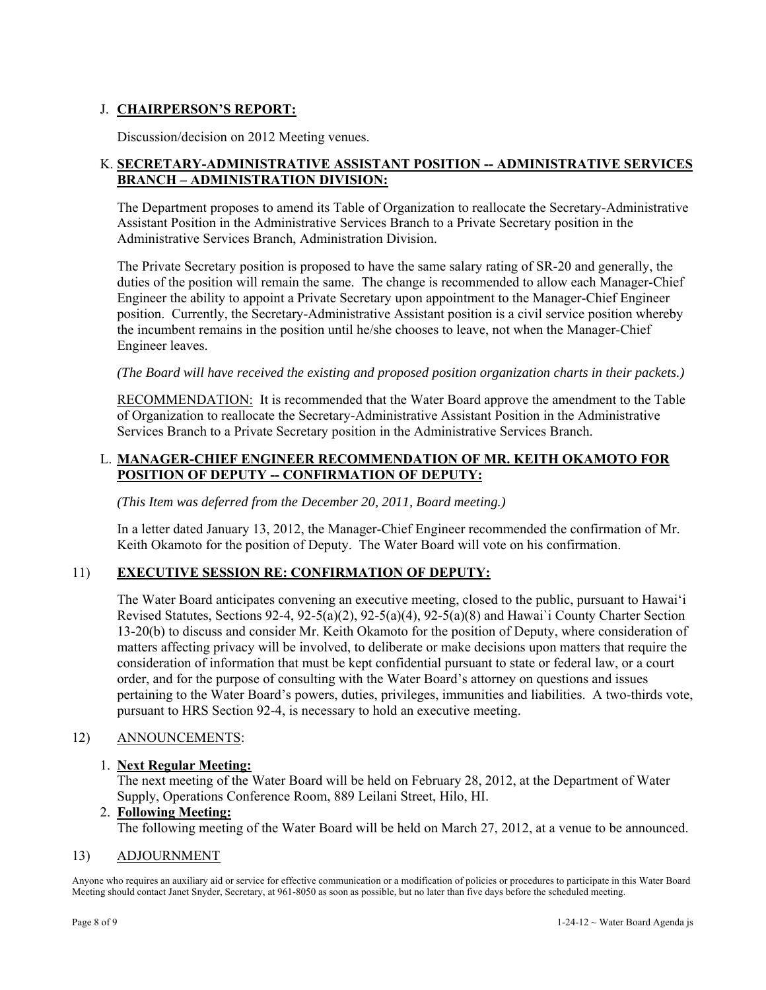## J. **CHAIRPERSON'S REPORT:**

Discussion/decision on 2012 Meeting venues.

### K. **SECRETARY-ADMINISTRATIVE ASSISTANT POSITION -- ADMINISTRATIVE SERVICES BRANCH – ADMINISTRATION DIVISION:**

The Department proposes to amend its Table of Organization to reallocate the Secretary-Administrative Assistant Position in the Administrative Services Branch to a Private Secretary position in the Administrative Services Branch, Administration Division.

The Private Secretary position is proposed to have the same salary rating of SR-20 and generally, the duties of the position will remain the same. The change is recommended to allow each Manager-Chief Engineer the ability to appoint a Private Secretary upon appointment to the Manager-Chief Engineer position. Currently, the Secretary-Administrative Assistant position is a civil service position whereby the incumbent remains in the position until he/she chooses to leave, not when the Manager-Chief Engineer leaves.

*(The Board will have received the existing and proposed position organization charts in their packets.)*

RECOMMENDATION: It is recommended that the Water Board approve the amendment to the Table of Organization to reallocate the Secretary-Administrative Assistant Position in the Administrative Services Branch to a Private Secretary position in the Administrative Services Branch.

### L. **MANAGER-CHIEF ENGINEER RECOMMENDATION OF MR. KEITH OKAMOTO FOR POSITION OF DEPUTY -- CONFIRMATION OF DEPUTY:**

*(This Item was deferred from the December 20, 2011, Board meeting.)* 

In a letter dated January 13, 2012, the Manager-Chief Engineer recommended the confirmation of Mr. Keith Okamoto for the position of Deputy. The Water Board will vote on his confirmation.

### 11) **EXECUTIVE SESSION RE: CONFIRMATION OF DEPUTY:**

The Water Board anticipates convening an executive meeting, closed to the public, pursuant to Hawai'i Revised Statutes, Sections 92-4, 92-5(a)(2), 92-5(a)(4), 92-5(a)(8) and Hawai`i County Charter Section 13-20(b) to discuss and consider Mr. Keith Okamoto for the position of Deputy, where consideration of matters affecting privacy will be involved, to deliberate or make decisions upon matters that require the consideration of information that must be kept confidential pursuant to state or federal law, or a court order, and for the purpose of consulting with the Water Board's attorney on questions and issues pertaining to the Water Board's powers, duties, privileges, immunities and liabilities. A two-thirds vote, pursuant to HRS Section 92-4, is necessary to hold an executive meeting.

### 12) ANNOUNCEMENTS:

### 1. **Next Regular Meeting:**

The next meeting of the Water Board will be held on February 28, 2012, at the Department of Water Supply, Operations Conference Room, 889 Leilani Street, Hilo, HI.

#### 2. **Following Meeting:**

The following meeting of the Water Board will be held on March 27, 2012, at a venue to be announced.

#### 13) ADJOURNMENT

Anyone who requires an auxiliary aid or service for effective communication or a modification of policies or procedures to participate in this Water Board Meeting should contact Janet Snyder, Secretary, at 961-8050 as soon as possible, but no later than five days before the scheduled meeting.